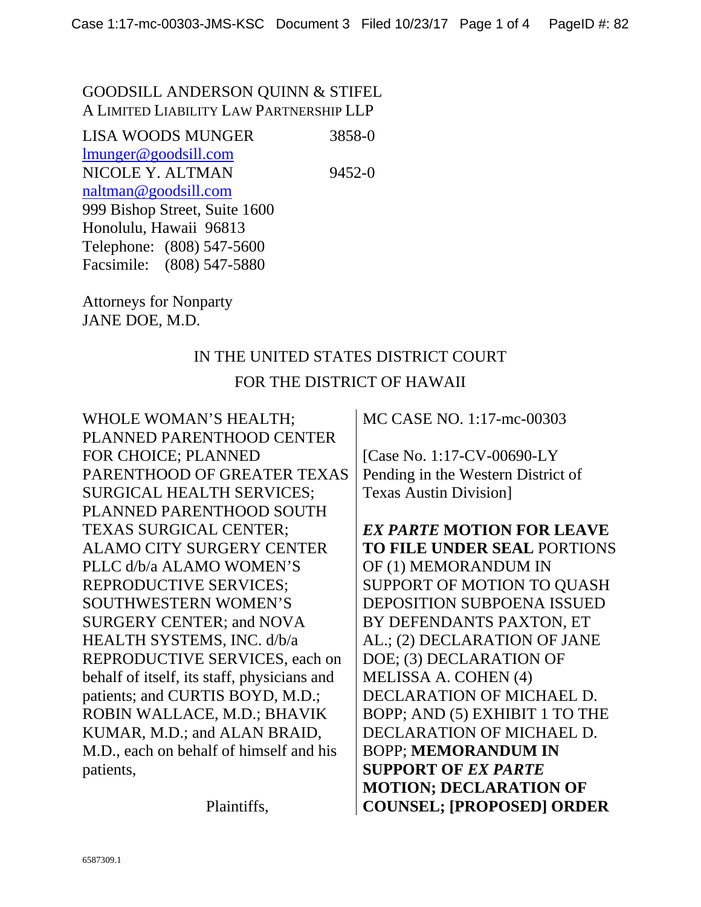#### GOODSILL ANDERSON QUINN & STIFEL A LIMITED LIABILITY LAW PARTNERSHIP LLP

LISA WOODS MUNGER 3858-0 lmunger@goodsill.com NICOLE Y. ALTMAN 9452-0 naltman@goodsill.com 999 Bishop Street, Suite 1600 Honolulu, Hawaii 96813 Telephone: (808) 547-5600 Facsimile: (808) 547-5880

Attorneys for Nonparty JANE DOE, M.D.

### IN THE UNITED STATES DISTRICT COURT FOR THE DISTRICT OF HAWAII

WHOLE WOMAN'S HEALTH; PLANNED PARENTHOOD CENTER FOR CHOICE; PLANNED PARENTHOOD OF GREATER TEXAS SURGICAL HEALTH SERVICES; PLANNED PARENTHOOD SOUTH TEXAS SURGICAL CENTER; ALAMO CITY SURGERY CENTER PLLC d/b/a ALAMO WOMEN'S REPRODUCTIVE SERVICES; SOUTHWESTERN WOMEN'S SURGERY CENTER; and NOVA HEALTH SYSTEMS, INC. d/b/a REPRODUCTIVE SERVICES, each on behalf of itself, its staff, physicians and patients; and CURTIS BOYD, M.D.; ROBIN WALLACE, M.D.; BHAVIK KUMAR, M.D.; and ALAN BRAID, M.D., each on behalf of himself and his patients,

Plaintiffs,

MC CASE NO. 1:17-mc-00303

[Case No. 1:17-CV-00690-LY Pending in the Western District of Texas Austin Division]

*EX PARTE* **MOTION FOR LEAVE TO FILE UNDER SEAL** PORTIONS OF (1) MEMORANDUM IN SUPPORT OF MOTION TO QUASH DEPOSITION SUBPOENA ISSUED BY DEFENDANTS PAXTON, ET AL.; (2) DECLARATION OF JANE DOE; (3) DECLARATION OF MELISSA A. COHEN (4) DECLARATION OF MICHAEL D. BOPP; AND (5) EXHIBIT 1 TO THE DECLARATION OF MICHAEL D. BOPP; **MEMORANDUM IN SUPPORT OF** *EX PARTE*  **MOTION; DECLARATION OF COUNSEL; [PROPOSED] ORDER**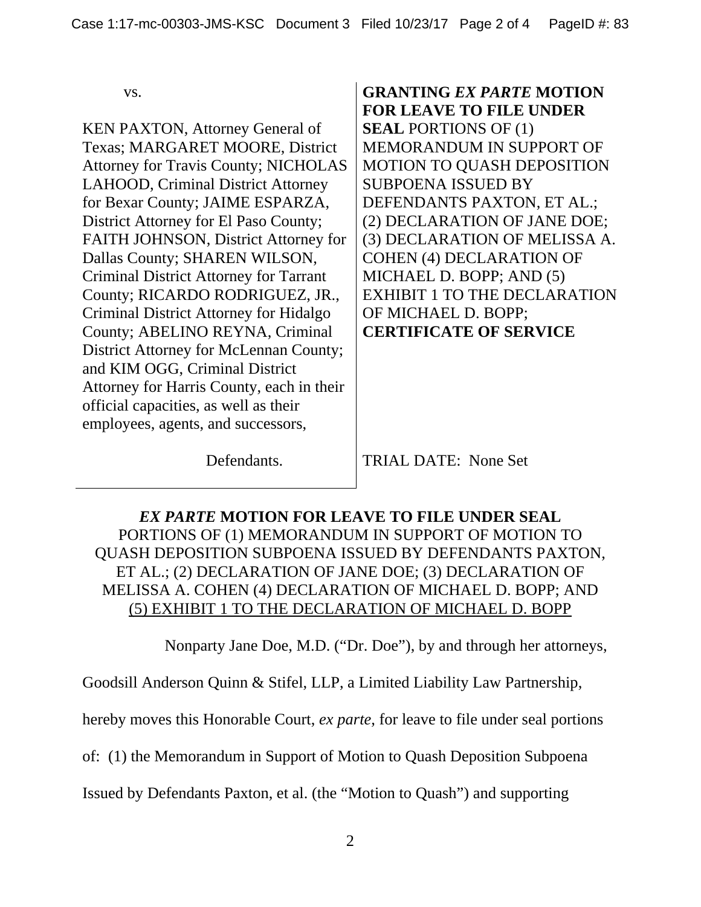vs.

KEN PAXTON, Attorney General of Texas; MARGARET MOORE, District Attorney for Travis County; NICHOLAS LAHOOD, Criminal District Attorney for Bexar County; JAIME ESPARZA, District Attorney for El Paso County; FAITH JOHNSON, District Attorney for Dallas County; SHAREN WILSON, Criminal District Attorney for Tarrant County; RICARDO RODRIGUEZ, JR., Criminal District Attorney for Hidalgo County; ABELINO REYNA, Criminal District Attorney for McLennan County; and KIM OGG, Criminal District Attorney for Harris County, each in their official capacities, as well as their employees, agents, and successors,

**GRANTING** *EX PARTE* **MOTION FOR LEAVE TO FILE UNDER SEAL** PORTIONS OF (1) MEMORANDUM IN SUPPORT OF MOTION TO QUASH DEPOSITION SUBPOENA ISSUED BY DEFENDANTS PAXTON, ET AL.; (2) DECLARATION OF JANE DOE; (3) DECLARATION OF MELISSA A. COHEN (4) DECLARATION OF MICHAEL D. BOPP; AND (5) EXHIBIT 1 TO THE DECLARATION OF MICHAEL D. BOPP; **CERTIFICATE OF SERVICE**

Defendants.

TRIAL DATE: None Set

*EX PARTE* **MOTION FOR LEAVE TO FILE UNDER SEAL**  PORTIONS OF (1) MEMORANDUM IN SUPPORT OF MOTION TO QUASH DEPOSITION SUBPOENA ISSUED BY DEFENDANTS PAXTON, ET AL.; (2) DECLARATION OF JANE DOE; (3) DECLARATION OF MELISSA A. COHEN (4) DECLARATION OF MICHAEL D. BOPP; AND (5) EXHIBIT 1 TO THE DECLARATION OF MICHAEL D. BOPP

Nonparty Jane Doe, M.D. ("Dr. Doe"), by and through her attorneys,

Goodsill Anderson Quinn & Stifel, LLP, a Limited Liability Law Partnership,

hereby moves this Honorable Court, *ex parte*, for leave to file under seal portions

of: (1) the Memorandum in Support of Motion to Quash Deposition Subpoena

Issued by Defendants Paxton, et al. (the "Motion to Quash") and supporting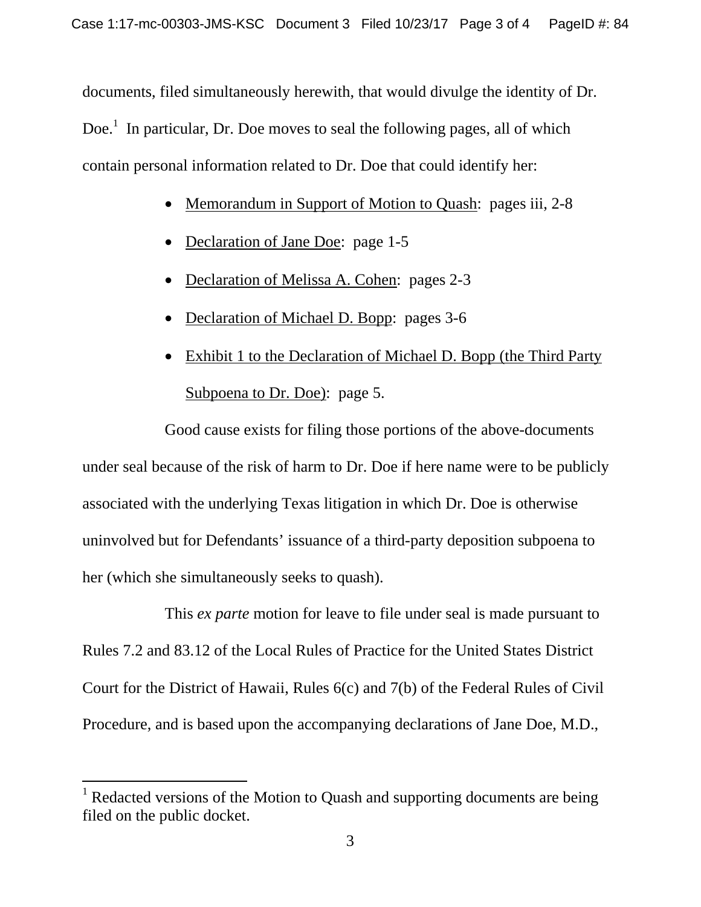documents, filed simultaneously herewith, that would divulge the identity of Dr. Doe.<sup>1</sup> In particular, Dr. Doe moves to seal the following pages, all of which contain personal information related to Dr. Doe that could identify her:

- Memorandum in Support of Motion to Quash: pages iii, 2-8
- Declaration of Jane Doe: page 1-5
- Declaration of Melissa A. Cohen: pages 2-3
- Declaration of Michael D. Bopp: pages 3-6
- Exhibit 1 to the Declaration of Michael D. Bopp (the Third Party Subpoena to Dr. Doe): page 5.

Good cause exists for filing those portions of the above-documents under seal because of the risk of harm to Dr. Doe if here name were to be publicly associated with the underlying Texas litigation in which Dr. Doe is otherwise uninvolved but for Defendants' issuance of a third-party deposition subpoena to her (which she simultaneously seeks to quash).

This *ex parte* motion for leave to file under seal is made pursuant to Rules 7.2 and 83.12 of the Local Rules of Practice for the United States District Court for the District of Hawaii, Rules 6(c) and 7(b) of the Federal Rules of Civil Procedure, and is based upon the accompanying declarations of Jane Doe, M.D.,

 $\overline{a}$ 

<sup>&</sup>lt;sup>1</sup> Redacted versions of the Motion to Quash and supporting documents are being filed on the public docket.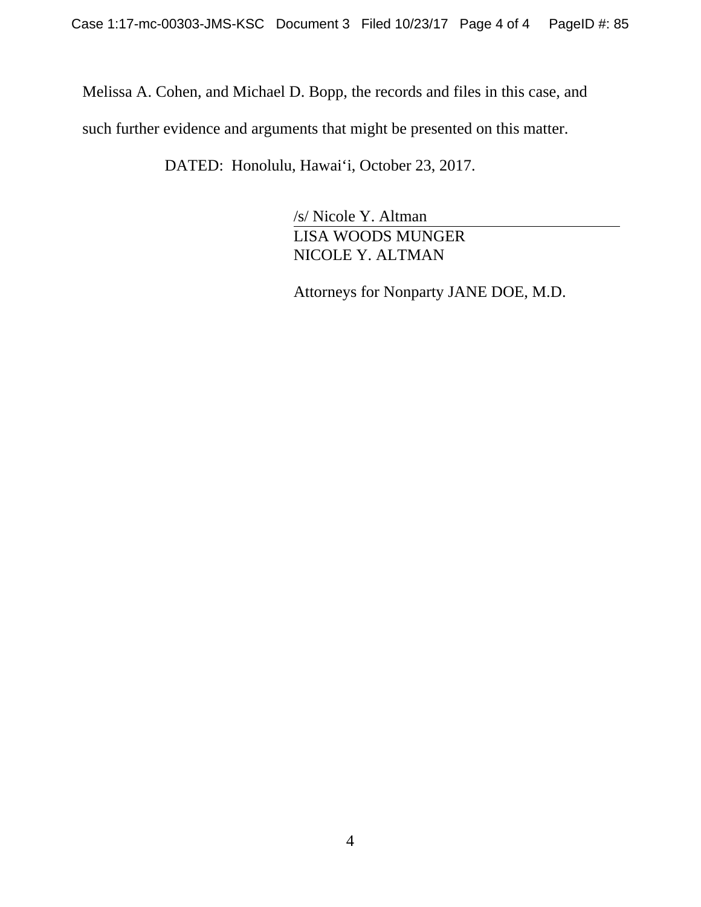Melissa A. Cohen, and Michael D. Bopp, the records and files in this case, and such further evidence and arguments that might be presented on this matter.

DATED: Honolulu, Hawai'i, October 23, 2017.

/s/ Nicole Y. Altman LISA WOODS MUNGER NICOLE Y. ALTMAN

Attorneys for Nonparty JANE DOE, M.D.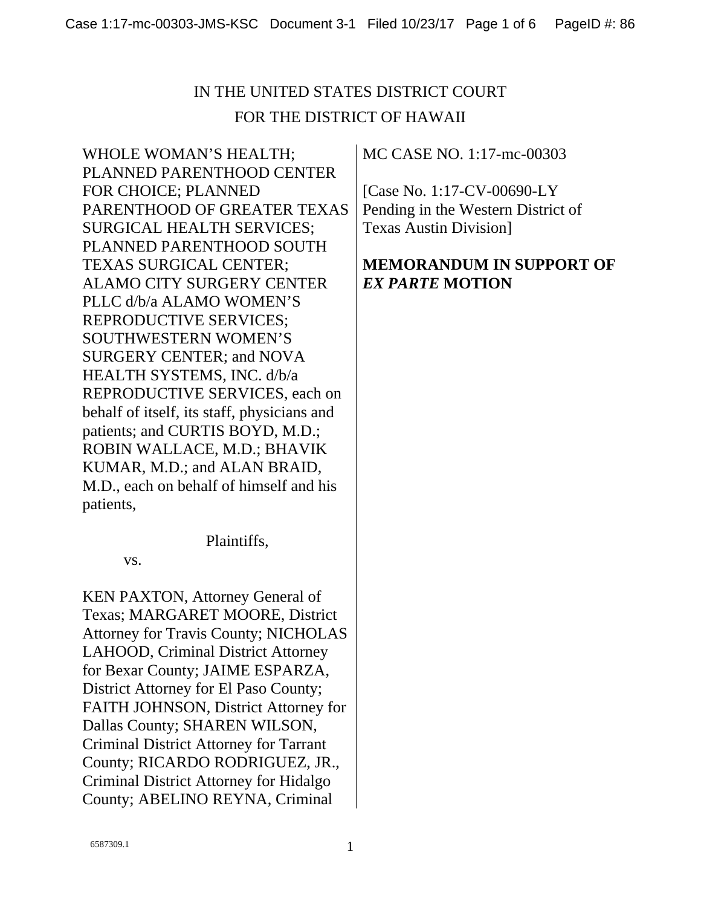WHOLE WOMAN'S HEALTH; PLANNED PARENTHOOD CENTER FOR CHOICE; PLANNED PARENTHOOD OF GREATER TEXAS SURGICAL HEALTH SERVICES; PLANNED PARENTHOOD SOUTH TEXAS SURGICAL CENTER; ALAMO CITY SURGERY CENTER PLLC d/b/a ALAMO WOMEN'S REPRODUCTIVE SERVICES; SOUTHWESTERN WOMEN'S SURGERY CENTER; and NOVA HEALTH SYSTEMS, INC. d/b/a REPRODUCTIVE SERVICES, each on behalf of itself, its staff, physicians and patients; and CURTIS BOYD, M.D.; ROBIN WALLACE, M.D.; BHAVIK KUMAR, M.D.; and ALAN BRAID, M.D., each on behalf of himself and his patients,

Plaintiffs,

vs.

KEN PAXTON, Attorney General of Texas; MARGARET MOORE, District Attorney for Travis County; NICHOLAS LAHOOD, Criminal District Attorney for Bexar County; JAIME ESPARZA, District Attorney for El Paso County; FAITH JOHNSON, District Attorney for Dallas County; SHAREN WILSON, Criminal District Attorney for Tarrant County; RICARDO RODRIGUEZ, JR., Criminal District Attorney for Hidalgo County; ABELINO REYNA, Criminal

MC CASE NO. 1:17-mc-00303

[Case No. 1:17-CV-00690-LY Pending in the Western District of Texas Austin Division]

### **MEMORANDUM IN SUPPORT OF**  *EX PARTE* **MOTION**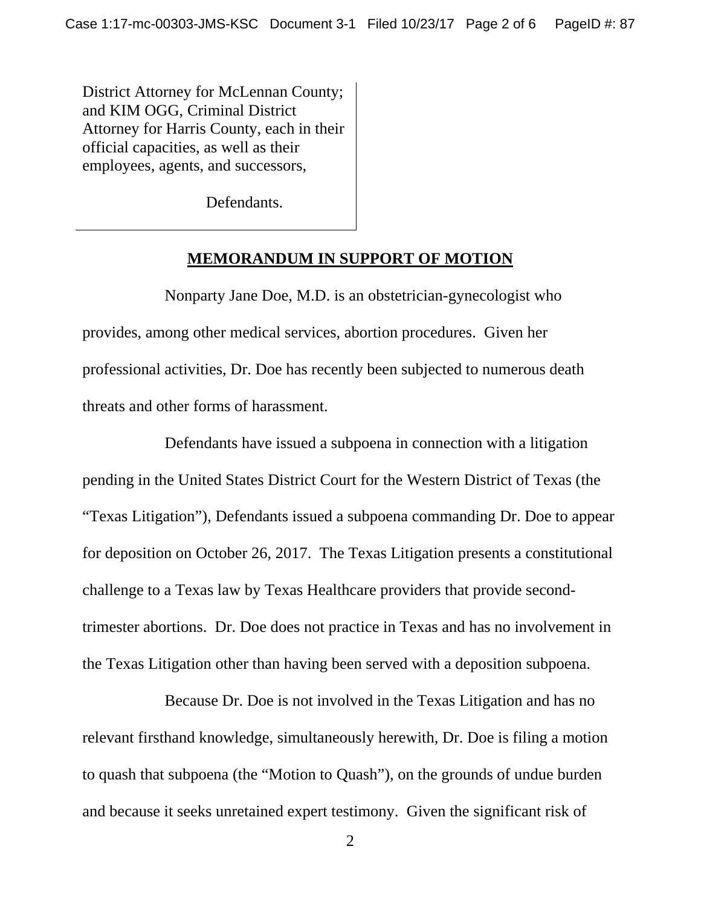District Attorney for McLennan County; and KIM OGG, Criminal District Attorney for Harris County, each in their official capacities, as well as their employees, agents, and successors,

Defendants.

#### **MEMORANDUM IN SUPPORT OF MOTION**

Nonparty Jane Doe, M.D. is an obstetrician-gynecologist who provides, among other medical services, abortion procedures. Given her professional activities, Dr. Doe has recently been subjected to numerous death threats and other forms of harassment.

Defendants have issued a subpoena in connection with a litigation pending in the United States District Court for the Western District of Texas (the "Texas Litigation"), Defendants issued a subpoena commanding Dr. Doe to appear for deposition on October 26, 2017. The Texas Litigation presents a constitutional challenge to a Texas law by Texas Healthcare providers that provide secondtrimester abortions. Dr. Doe does not practice in Texas and has no involvement in the Texas Litigation other than having been served with a deposition subpoena.

Because Dr. Doe is not involved in the Texas Litigation and has no relevant firsthand knowledge, simultaneously herewith, Dr. Doe is filing a motion to quash that subpoena (the "Motion to Quash"), on the grounds of undue burden and because it seeks unretained expert testimony. Given the significant risk of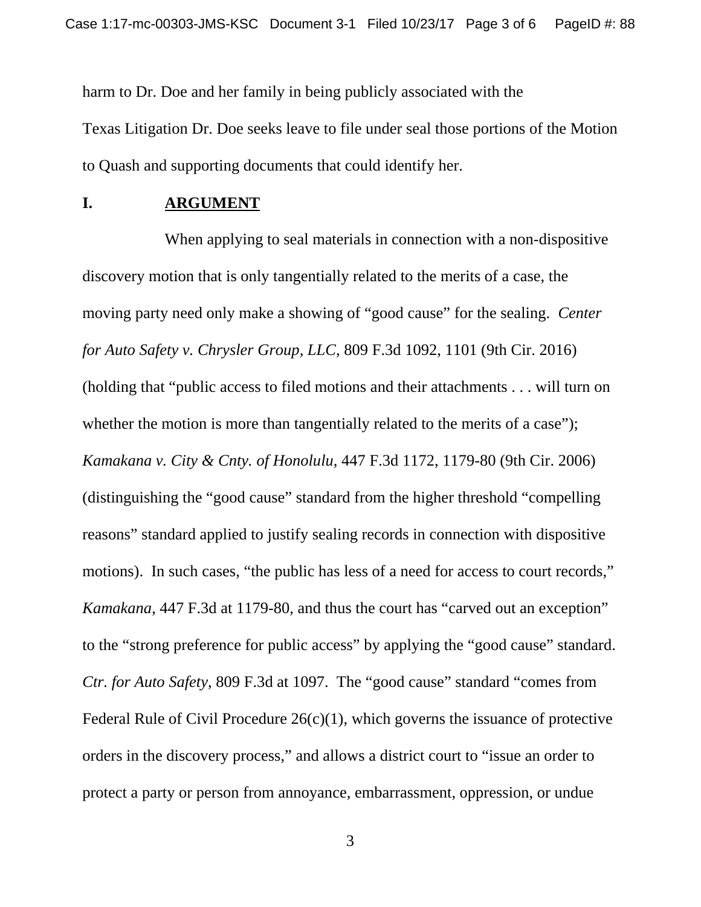harm to Dr. Doe and her family in being publicly associated with the Texas Litigation Dr. Doe seeks leave to file under seal those portions of the Motion to Quash and supporting documents that could identify her.

#### **I. ARGUMENT**

When applying to seal materials in connection with a non-dispositive discovery motion that is only tangentially related to the merits of a case, the moving party need only make a showing of "good cause" for the sealing. *Center for Auto Safety v. Chrysler Group, LLC*, 809 F.3d 1092, 1101 (9th Cir. 2016) (holding that "public access to filed motions and their attachments . . . will turn on whether the motion is more than tangentially related to the merits of a case"); *Kamakana v. City & Cnty. of Honolulu*, 447 F.3d 1172, 1179-80 (9th Cir. 2006) (distinguishing the "good cause" standard from the higher threshold "compelling reasons" standard applied to justify sealing records in connection with dispositive motions). In such cases, "the public has less of a need for access to court records," *Kamakana*, 447 F.3d at 1179-80, and thus the court has "carved out an exception" to the "strong preference for public access" by applying the "good cause" standard. *Ctr. for Auto Safety*, 809 F.3d at 1097. The "good cause" standard "comes from Federal Rule of Civil Procedure  $26(c)(1)$ , which governs the issuance of protective orders in the discovery process," and allows a district court to "issue an order to protect a party or person from annoyance, embarrassment, oppression, or undue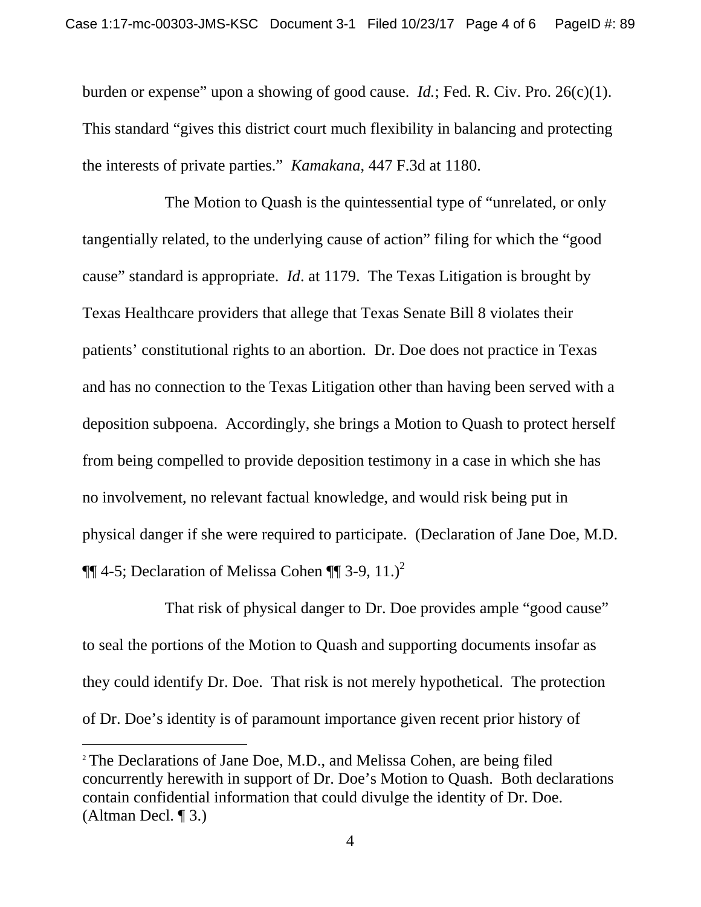burden or expense" upon a showing of good cause. *Id.*; Fed. R. Civ. Pro. 26(c)(1). This standard "gives this district court much flexibility in balancing and protecting the interests of private parties." *Kamakana*, 447 F.3d at 1180.

The Motion to Quash is the quintessential type of "unrelated, or only tangentially related, to the underlying cause of action" filing for which the "good cause" standard is appropriate. *Id*. at 1179. The Texas Litigation is brought by Texas Healthcare providers that allege that Texas Senate Bill 8 violates their patients' constitutional rights to an abortion. Dr. Doe does not practice in Texas and has no connection to the Texas Litigation other than having been served with a deposition subpoena. Accordingly, she brings a Motion to Quash to protect herself from being compelled to provide deposition testimony in a case in which she has no involvement, no relevant factual knowledge, and would risk being put in physical danger if she were required to participate. (Declaration of Jane Doe, M.D.  $\P\P$  4-5; Declaration of Melissa Cohen  $\P\P$  3-9, 11.)<sup>2</sup>

That risk of physical danger to Dr. Doe provides ample "good cause" to seal the portions of the Motion to Quash and supporting documents insofar as they could identify Dr. Doe. That risk is not merely hypothetical. The protection of Dr. Doe's identity is of paramount importance given recent prior history of

 $\overline{a}$ 

<sup>&</sup>lt;sup>2</sup> The Declarations of Jane Doe, M.D., and Melissa Cohen, are being filed concurrently herewith in support of Dr. Doe's Motion to Quash. Both declarations contain confidential information that could divulge the identity of Dr. Doe. (Altman Decl. ¶ 3.)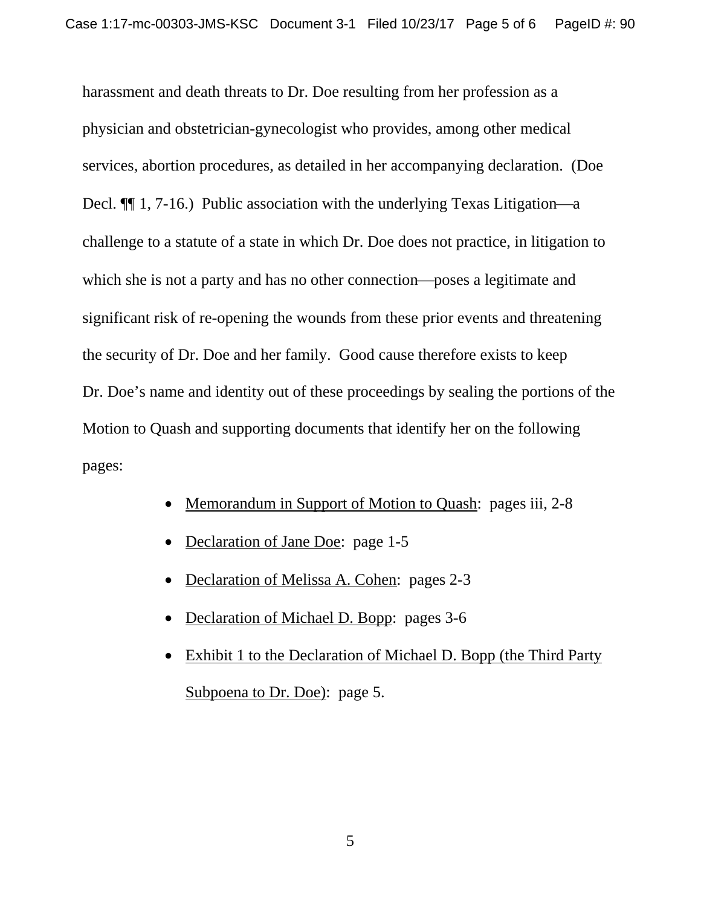harassment and death threats to Dr. Doe resulting from her profession as a physician and obstetrician-gynecologist who provides, among other medical services, abortion procedures, as detailed in her accompanying declaration. (Doe Decl.  $\P$  1, 7-16.) Public association with the underlying Texas Litigation—a challenge to a statute of a state in which Dr. Doe does not practice, in litigation to which she is not a party and has no other connection—poses a legitimate and significant risk of re-opening the wounds from these prior events and threatening the security of Dr. Doe and her family. Good cause therefore exists to keep Dr. Doe's name and identity out of these proceedings by sealing the portions of the Motion to Quash and supporting documents that identify her on the following pages:

- Memorandum in Support of Motion to Quash: pages iii, 2-8
- Declaration of Jane Doe: page 1-5
- Declaration of Melissa A. Cohen: pages 2-3
- Declaration of Michael D. Bopp: pages 3-6
- Exhibit 1 to the Declaration of Michael D. Bopp (the Third Party Subpoena to Dr. Doe): page 5.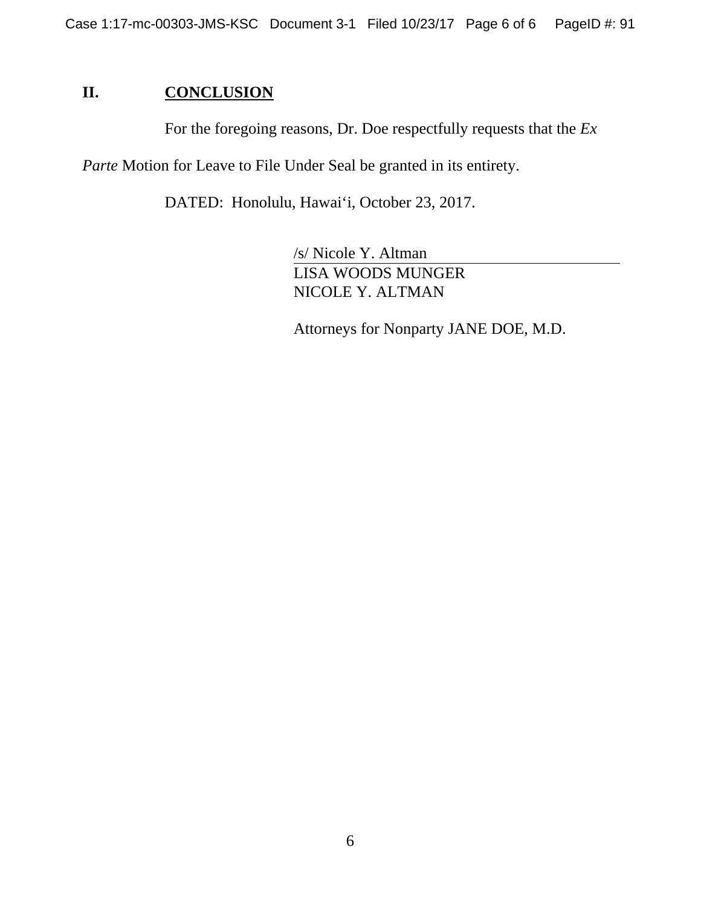### **II. CONCLUSION**

For the foregoing reasons, Dr. Doe respectfully requests that the *Ex* 

*Parte* Motion for Leave to File Under Seal be granted in its entirety.

DATED: Honolulu, Hawai'i, October 23, 2017.

/s/ Nicole Y. Altman LISA WOODS MUNGER NICOLE Y. ALTMAN

Attorneys for Nonparty JANE DOE, M.D.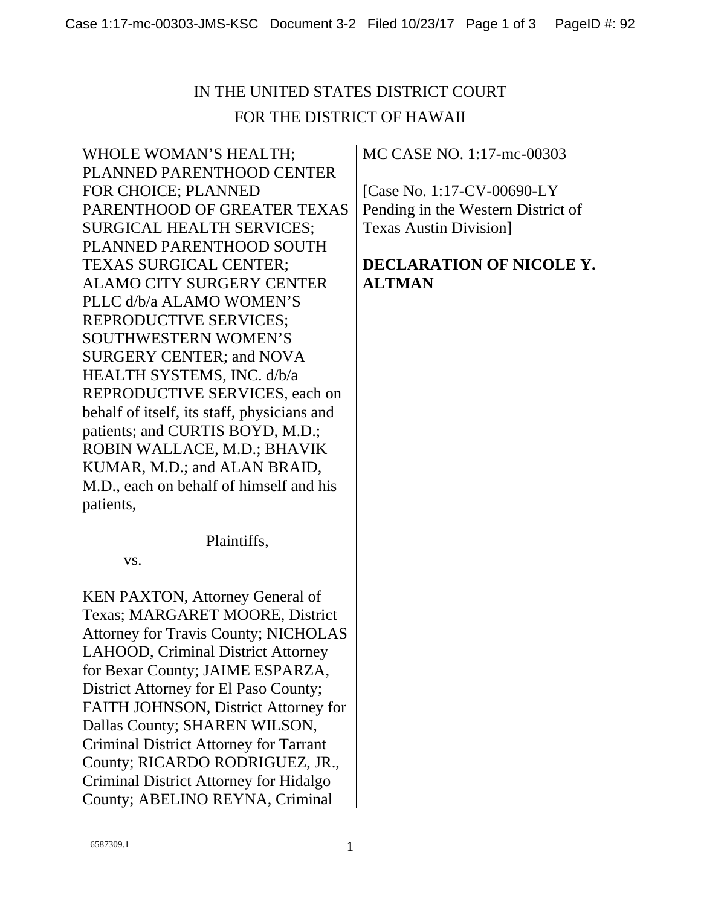WHOLE WOMAN'S HEALTH; PLANNED PARENTHOOD CENTER FOR CHOICE; PLANNED PARENTHOOD OF GREATER TEXAS SURGICAL HEALTH SERVICES; PLANNED PARENTHOOD SOUTH TEXAS SURGICAL CENTER; ALAMO CITY SURGERY CENTER PLLC d/b/a ALAMO WOMEN'S REPRODUCTIVE SERVICES; SOUTHWESTERN WOMEN'S SURGERY CENTER; and NOVA HEALTH SYSTEMS, INC. d/b/a REPRODUCTIVE SERVICES, each on behalf of itself, its staff, physicians and patients; and CURTIS BOYD, M.D.; ROBIN WALLACE, M.D.; BHAVIK KUMAR, M.D.; and ALAN BRAID, M.D., each on behalf of himself and his patients,

Plaintiffs,

vs.

KEN PAXTON, Attorney General of Texas; MARGARET MOORE, District Attorney for Travis County; NICHOLAS LAHOOD, Criminal District Attorney for Bexar County; JAIME ESPARZA, District Attorney for El Paso County; FAITH JOHNSON, District Attorney for Dallas County; SHAREN WILSON, Criminal District Attorney for Tarrant County; RICARDO RODRIGUEZ, JR., Criminal District Attorney for Hidalgo County; ABELINO REYNA, Criminal

MC CASE NO. 1:17-mc-00303

[Case No. 1:17-CV-00690-LY Pending in the Western District of Texas Austin Division]

### **DECLARATION OF NICOLE Y. ALTMAN**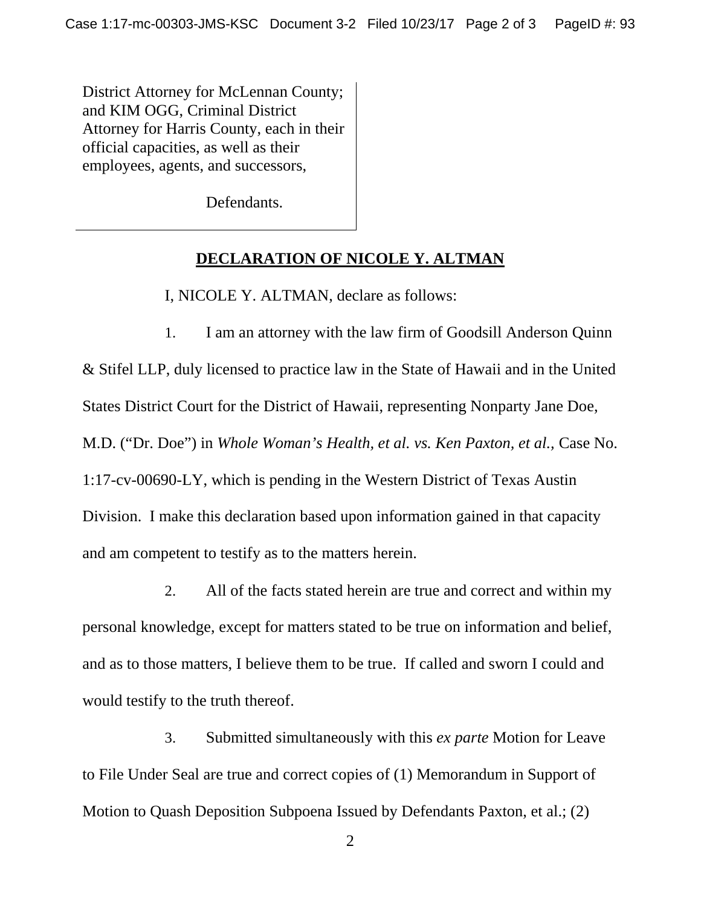District Attorney for McLennan County; and KIM OGG, Criminal District Attorney for Harris County, each in their official capacities, as well as their employees, agents, and successors,

Defendants.

#### **DECLARATION OF NICOLE Y. ALTMAN**

I, NICOLE Y. ALTMAN, declare as follows:

1. I am an attorney with the law firm of Goodsill Anderson Quinn & Stifel LLP, duly licensed to practice law in the State of Hawaii and in the United States District Court for the District of Hawaii, representing Nonparty Jane Doe, M.D. ("Dr. Doe") in *Whole Woman's Health, et al. vs. Ken Paxton, et al.,* Case No. 1:17-cv-00690-LY, which is pending in the Western District of Texas Austin Division. I make this declaration based upon information gained in that capacity and am competent to testify as to the matters herein.

2. All of the facts stated herein are true and correct and within my personal knowledge, except for matters stated to be true on information and belief, and as to those matters, I believe them to be true. If called and sworn I could and would testify to the truth thereof.

3. Submitted simultaneously with this *ex parte* Motion for Leave to File Under Seal are true and correct copies of (1) Memorandum in Support of Motion to Quash Deposition Subpoena Issued by Defendants Paxton, et al.; (2)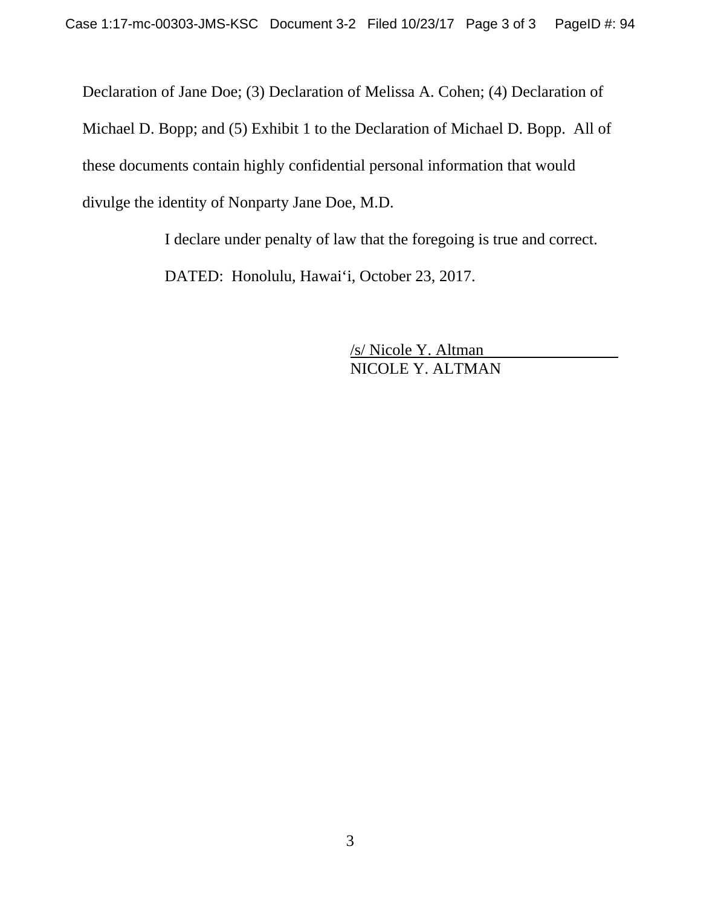Declaration of Jane Doe; (3) Declaration of Melissa A. Cohen; (4) Declaration of Michael D. Bopp; and (5) Exhibit 1 to the Declaration of Michael D. Bopp. All of these documents contain highly confidential personal information that would divulge the identity of Nonparty Jane Doe, M.D.

> I declare under penalty of law that the foregoing is true and correct. DATED: Honolulu, Hawai'i, October 23, 2017.

> > /s/ Nicole Y. Altman NICOLE Y. ALTMAN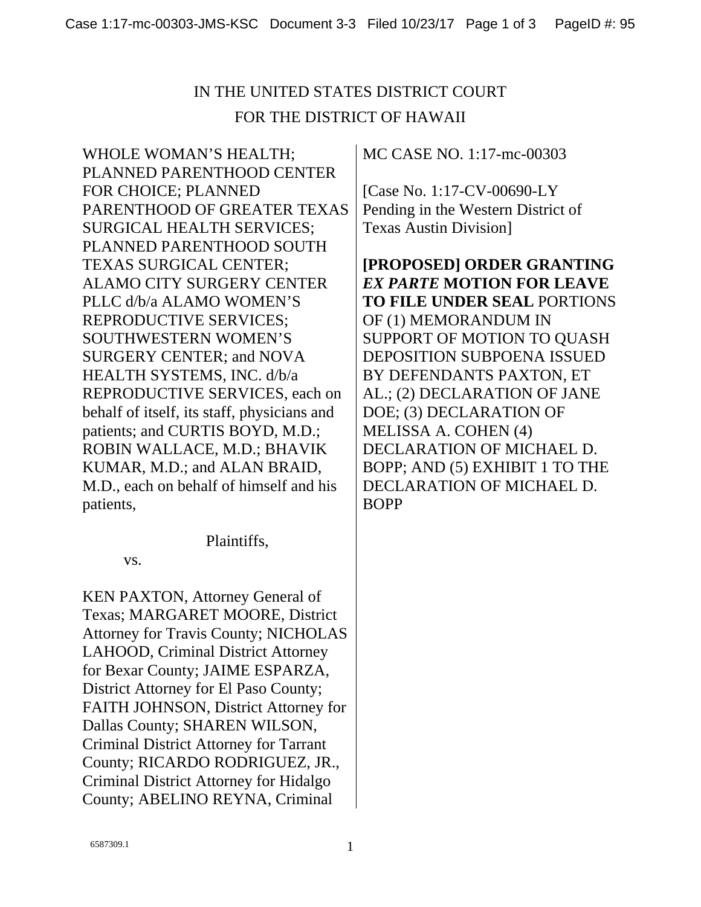WHOLE WOMAN'S HEALTH; PLANNED PARENTHOOD CENTER FOR CHOICE; PLANNED PARENTHOOD OF GREATER TEXAS SURGICAL HEALTH SERVICES; PLANNED PARENTHOOD SOUTH TEXAS SURGICAL CENTER; ALAMO CITY SURGERY CENTER PLLC d/b/a ALAMO WOMEN'S REPRODUCTIVE SERVICES; SOUTHWESTERN WOMEN'S SURGERY CENTER; and NOVA HEALTH SYSTEMS, INC. d/b/a REPRODUCTIVE SERVICES, each on behalf of itself, its staff, physicians and patients; and CURTIS BOYD, M.D.; ROBIN WALLACE, M.D.; BHAVIK KUMAR, M.D.; and ALAN BRAID, M.D., each on behalf of himself and his patients,

Plaintiffs,

vs.

KEN PAXTON, Attorney General of Texas; MARGARET MOORE, District Attorney for Travis County; NICHOLAS LAHOOD, Criminal District Attorney for Bexar County; JAIME ESPARZA, District Attorney for El Paso County; FAITH JOHNSON, District Attorney for Dallas County; SHAREN WILSON, Criminal District Attorney for Tarrant County; RICARDO RODRIGUEZ, JR., Criminal District Attorney for Hidalgo County; ABELINO REYNA, Criminal

MC CASE NO. 1:17-mc-00303

[Case No. 1:17-CV-00690-LY Pending in the Western District of Texas Austin Division]

**[PROPOSED] ORDER GRANTING**  *EX PARTE* **MOTION FOR LEAVE TO FILE UNDER SEAL** PORTIONS OF (1) MEMORANDUM IN SUPPORT OF MOTION TO QUASH DEPOSITION SUBPOENA ISSUED BY DEFENDANTS PAXTON, ET AL.; (2) DECLARATION OF JANE DOE; (3) DECLARATION OF MELISSA A. COHEN (4) DECLARATION OF MICHAEL D. BOPP; AND (5) EXHIBIT 1 TO THE DECLARATION OF MICHAEL D. BOPP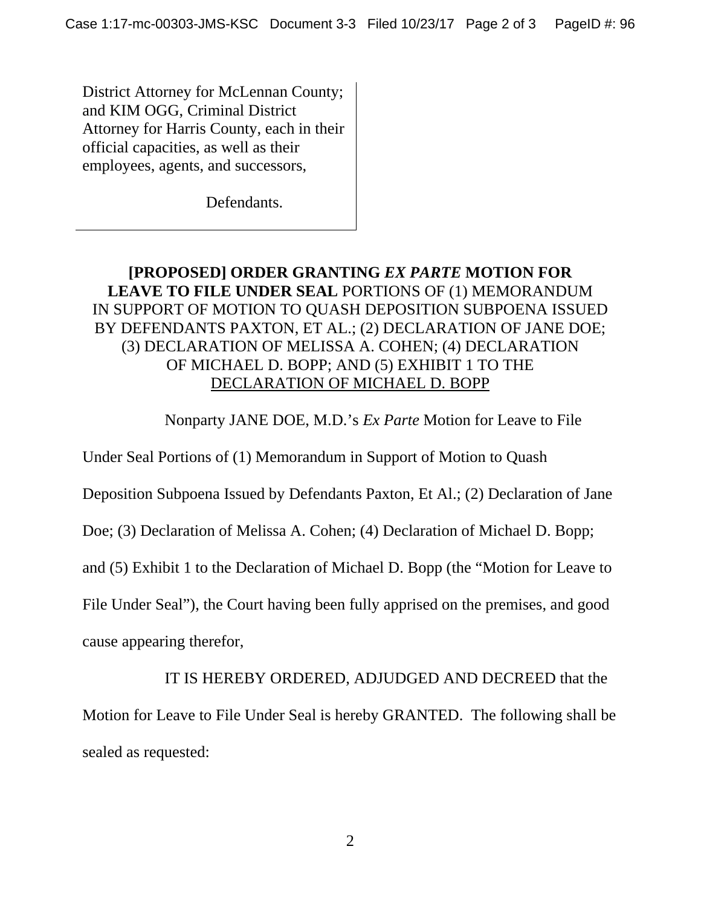District Attorney for McLennan County; and KIM OGG, Criminal District Attorney for Harris County, each in their official capacities, as well as their employees, agents, and successors,

Defendants.

### **[PROPOSED] ORDER GRANTING** *EX PARTE* **MOTION FOR LEAVE TO FILE UNDER SEAL** PORTIONS OF (1) MEMORANDUM IN SUPPORT OF MOTION TO QUASH DEPOSITION SUBPOENA ISSUED BY DEFENDANTS PAXTON, ET AL.; (2) DECLARATION OF JANE DOE; (3) DECLARATION OF MELISSA A. COHEN; (4) DECLARATION OF MICHAEL D. BOPP; AND (5) EXHIBIT 1 TO THE DECLARATION OF MICHAEL D. BOPP

Nonparty JANE DOE, M.D.'s *Ex Parte* Motion for Leave to File

Under Seal Portions of (1) Memorandum in Support of Motion to Quash

Deposition Subpoena Issued by Defendants Paxton, Et Al.; (2) Declaration of Jane

Doe; (3) Declaration of Melissa A. Cohen; (4) Declaration of Michael D. Bopp;

and (5) Exhibit 1 to the Declaration of Michael D. Bopp (the "Motion for Leave to

File Under Seal"), the Court having been fully apprised on the premises, and good

cause appearing therefor,

IT IS HEREBY ORDERED, ADJUDGED AND DECREED that the Motion for Leave to File Under Seal is hereby GRANTED. The following shall be sealed as requested: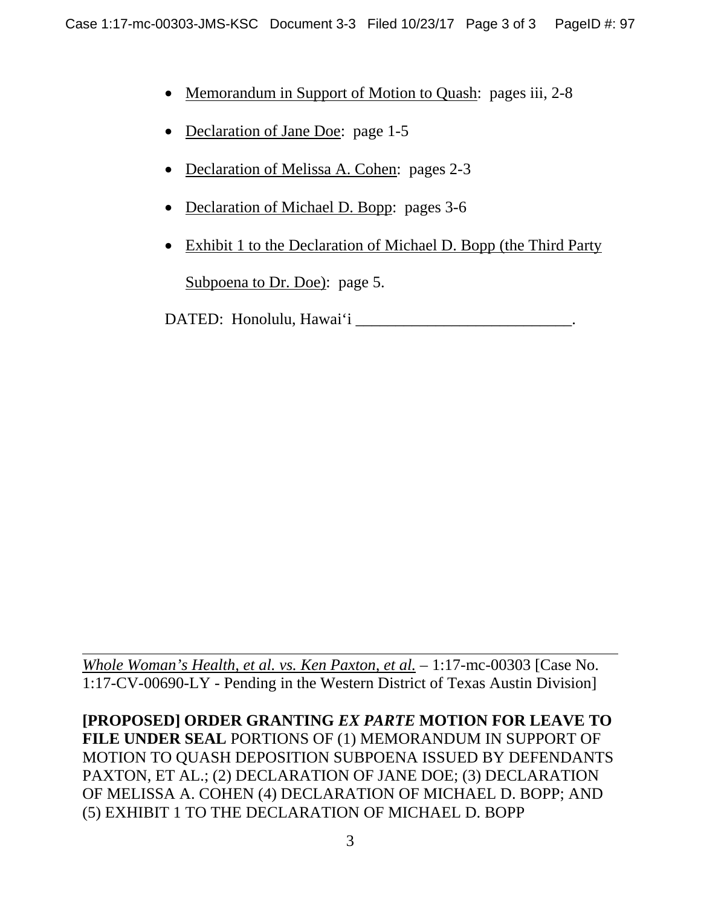- Memorandum in Support of Motion to Quash: pages iii, 2-8
- Declaration of Jane Doe: page 1-5
- Declaration of Melissa A. Cohen: pages 2-3
- Declaration of Michael D. Bopp: pages 3-6
- Exhibit 1 to the Declaration of Michael D. Bopp (the Third Party Subpoena to Dr. Doe): page 5.

DATED: Honolulu, Hawai'i

 $\overline{a}$ *Whole Woman's Health, et al. vs. Ken Paxton, et al. –* 1:17-mc-00303 [Case No. 1:17-CV-00690-LY - Pending in the Western District of Texas Austin Division]

**[PROPOSED] ORDER GRANTING** *EX PARTE* **MOTION FOR LEAVE TO FILE UNDER SEAL** PORTIONS OF (1) MEMORANDUM IN SUPPORT OF MOTION TO QUASH DEPOSITION SUBPOENA ISSUED BY DEFENDANTS PAXTON, ET AL.; (2) DECLARATION OF JANE DOE; (3) DECLARATION OF MELISSA A. COHEN (4) DECLARATION OF MICHAEL D. BOPP; AND (5) EXHIBIT 1 TO THE DECLARATION OF MICHAEL D. BOPP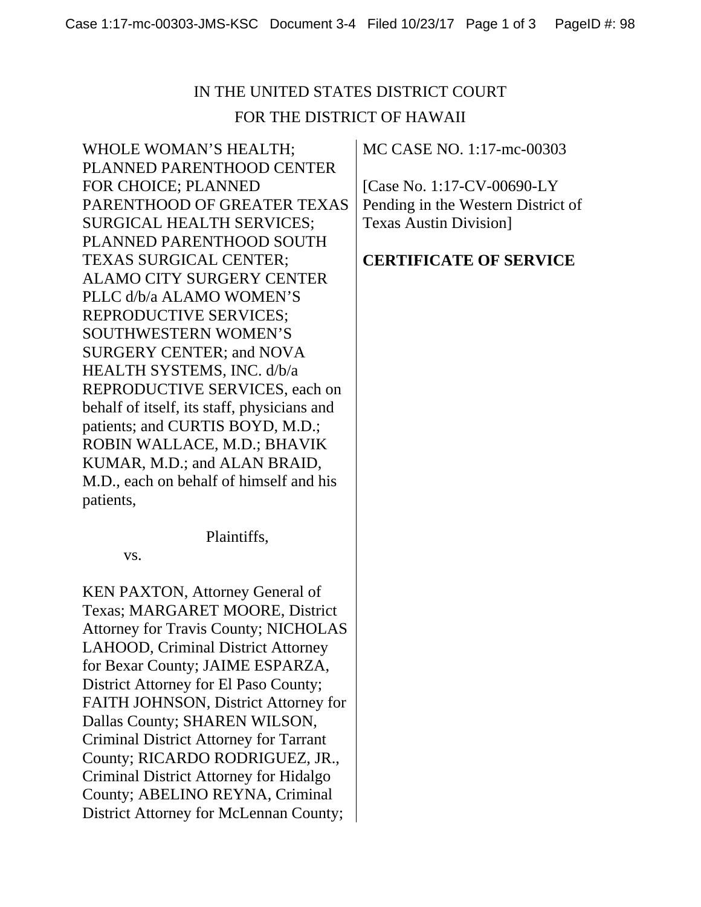WHOLE WOMAN'S HEALTH; PLANNED PARENTHOOD CENTER FOR CHOICE; PLANNED PARENTHOOD OF GREATER TEXAS SURGICAL HEALTH SERVICES; PLANNED PARENTHOOD SOUTH TEXAS SURGICAL CENTER; ALAMO CITY SURGERY CENTER PLLC d/b/a ALAMO WOMEN'S REPRODUCTIVE SERVICES; SOUTHWESTERN WOMEN'S SURGERY CENTER; and NOVA HEALTH SYSTEMS, INC. d/b/a REPRODUCTIVE SERVICES, each on behalf of itself, its staff, physicians and patients; and CURTIS BOYD, M.D.; ROBIN WALLACE, M.D.; BHAVIK KUMAR, M.D.; and ALAN BRAID, M.D., each on behalf of himself and his patients,

Plaintiffs,

vs.

KEN PAXTON, Attorney General of Texas; MARGARET MOORE, District Attorney for Travis County; NICHOLAS LAHOOD, Criminal District Attorney for Bexar County; JAIME ESPARZA, District Attorney for El Paso County; FAITH JOHNSON, District Attorney for Dallas County; SHAREN WILSON, Criminal District Attorney for Tarrant County; RICARDO RODRIGUEZ, JR., Criminal District Attorney for Hidalgo County; ABELINO REYNA, Criminal District Attorney for McLennan County;

MC CASE NO. 1:17-mc-00303

[Case No. 1:17-CV-00690-LY Pending in the Western District of Texas Austin Division]

## **CERTIFICATE OF SERVICE**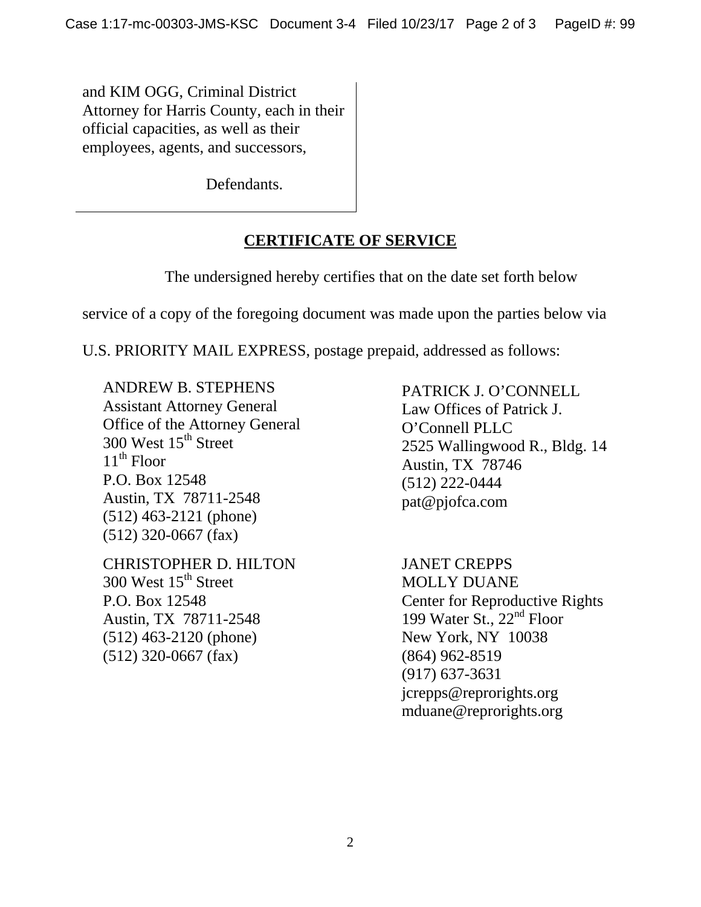and KIM OGG, Criminal District Attorney for Harris County, each in their official capacities, as well as their employees, agents, and successors,

Defendants.

## **CERTIFICATE OF SERVICE**

The undersigned hereby certifies that on the date set forth below

service of a copy of the foregoing document was made upon the parties below via

U.S. PRIORITY MAIL EXPRESS, postage prepaid, addressed as follows:

ANDREW B. STEPHENS Assistant Attorney General Office of the Attorney General 300 West 15<sup>th</sup> Street  $11<sup>th</sup>$  Floor P.O. Box 12548 Austin, TX 78711-2548 (512) 463-2121 (phone) (512) 320-0667 (fax)

CHRISTOPHER D. HILTON 300 West  $15<sup>th</sup>$  Street P.O. Box 12548 Austin, TX 78711-2548 (512) 463-2120 (phone) (512) 320-0667 (fax)

PATRICK J. O'CONNELL Law Offices of Patrick J. O'Connell PLLC 2525 Wallingwood R., Bldg. 14 Austin, TX 78746 (512) 222-0444 pat@pjofca.com

JANET CREPPS MOLLY DUANE Center for Reproductive Rights 199 Water St., 22<sup>nd</sup> Floor New York, NY 10038 (864) 962-8519 (917) 637-3631 jcrepps@reprorights.org mduane@reprorights.org